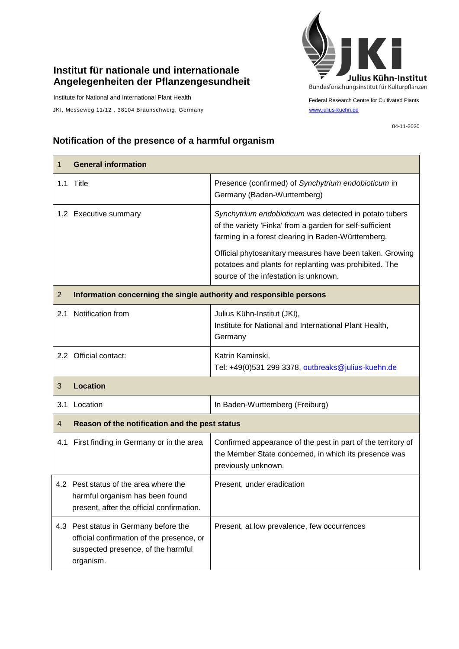## **Institut für nationale und internationale Angelegenheiten der Pflanzengesundheit**

Institute for National and International Plant Health

JKI, Messeweg 11/12, 38104 Braunschweig, Germany [www.julius-kuehn.de](http://www.julius-kuehn.de/)



Federal Research Centre for Cultivated Plants

04-11-2020

## **Notification of the presence of a harmful organism**

| 1              | <b>General information</b>                                                                                                            |                                                                                                                                                                          |  |
|----------------|---------------------------------------------------------------------------------------------------------------------------------------|--------------------------------------------------------------------------------------------------------------------------------------------------------------------------|--|
|                | 1.1 Title                                                                                                                             | Presence (confirmed) of Synchytrium endobioticum in<br>Germany (Baden-Wurttemberg)                                                                                       |  |
|                | 1.2 Executive summary                                                                                                                 | Synchytrium endobioticum was detected in potato tubers<br>of the variety 'Finka' from a garden for self-sufficient<br>farming in a forest clearing in Baden-Württemberg. |  |
|                |                                                                                                                                       | Official phytosanitary measures have been taken. Growing<br>potatoes and plants for replanting was prohibited. The<br>source of the infestation is unknown.              |  |
| $\overline{2}$ | Information concerning the single authority and responsible persons                                                                   |                                                                                                                                                                          |  |
|                | 2.1 Notification from                                                                                                                 | Julius Kühn-Institut (JKI),<br>Institute for National and International Plant Health,<br>Germany                                                                         |  |
|                | 2.2 Official contact:                                                                                                                 | Katrin Kaminski,<br>Tel: +49(0)531 299 3378, outbreaks@julius-kuehn.de                                                                                                   |  |
| 3              | <b>Location</b>                                                                                                                       |                                                                                                                                                                          |  |
| 3.1            | Location                                                                                                                              | In Baden-Wurttemberg (Freiburg)                                                                                                                                          |  |
| 4              | Reason of the notification and the pest status                                                                                        |                                                                                                                                                                          |  |
|                | 4.1 First finding in Germany or in the area                                                                                           | Confirmed appearance of the pest in part of the territory of<br>the Member State concerned, in which its presence was<br>previously unknown.                             |  |
|                | 4.2 Pest status of the area where the<br>harmful organism has been found<br>present, after the official confirmation.                 | Present, under eradication                                                                                                                                               |  |
|                | 4.3 Pest status in Germany before the<br>official confirmation of the presence, or<br>suspected presence, of the harmful<br>organism. | Present, at low prevalence, few occurrences                                                                                                                              |  |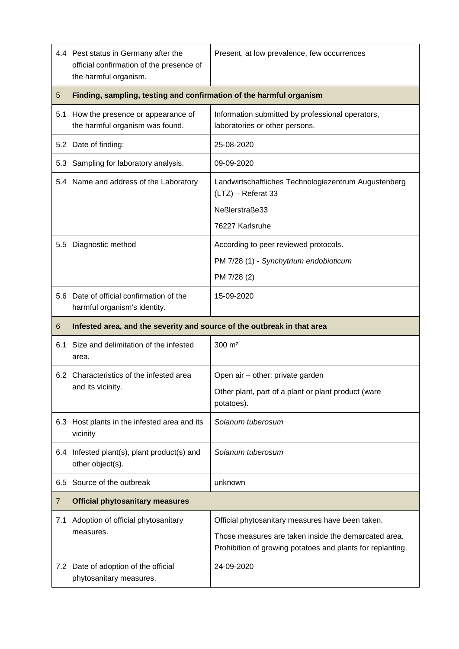|     | 4.4 Pest status in Germany after the<br>official confirmation of the presence of<br>the harmful organism. | Present, at low prevalence, few occurrences                                                                        |  |
|-----|-----------------------------------------------------------------------------------------------------------|--------------------------------------------------------------------------------------------------------------------|--|
| 5   | Finding, sampling, testing and confirmation of the harmful organism                                       |                                                                                                                    |  |
| 5.1 | How the presence or appearance of<br>the harmful organism was found.                                      | Information submitted by professional operators,<br>laboratories or other persons.                                 |  |
|     | 5.2 Date of finding:                                                                                      | 25-08-2020                                                                                                         |  |
|     | 5.3 Sampling for laboratory analysis.                                                                     | 09-09-2020                                                                                                         |  |
|     | 5.4 Name and address of the Laboratory                                                                    | Landwirtschaftliches Technologiezentrum Augustenberg<br>(LTZ) - Referat 33                                         |  |
|     |                                                                                                           | Neßlerstraße33                                                                                                     |  |
|     |                                                                                                           | 76227 Karlsruhe                                                                                                    |  |
| 5.5 | Diagnostic method                                                                                         | According to peer reviewed protocols.                                                                              |  |
|     |                                                                                                           | PM 7/28 (1) - Synchytrium endobioticum                                                                             |  |
|     |                                                                                                           | PM 7/28 (2)                                                                                                        |  |
|     | 5.6 Date of official confirmation of the<br>harmful organism's identity.                                  | 15-09-2020                                                                                                         |  |
|     | Infested area, and the severity and source of the outbreak in that area                                   |                                                                                                                    |  |
| 6   |                                                                                                           |                                                                                                                    |  |
| 6.1 | Size and delimitation of the infested<br>area.                                                            | $300 \; \text{m}^2$                                                                                                |  |
|     | 6.2 Characteristics of the infested area                                                                  | Open air - other: private garden                                                                                   |  |
|     | and its vicinity.                                                                                         | Other plant, part of a plant or plant product (ware<br>potatoes).                                                  |  |
|     | 6.3 Host plants in the infested area and its<br>vicinity                                                  | Solanum tuberosum                                                                                                  |  |
| 6.4 | Infested plant(s), plant product(s) and<br>other object(s).                                               | Solanum tuberosum                                                                                                  |  |
| 6.5 | Source of the outbreak                                                                                    | unknown                                                                                                            |  |
| 7   | <b>Official phytosanitary measures</b>                                                                    |                                                                                                                    |  |
| 7.1 | Adoption of official phytosanitary                                                                        | Official phytosanitary measures have been taken.                                                                   |  |
|     | measures.                                                                                                 | Those measures are taken inside the demarcated area.<br>Prohibition of growing potatoes and plants for replanting. |  |